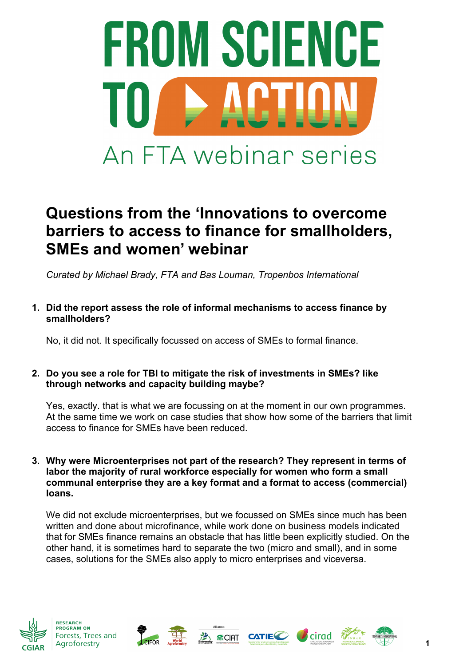

# **Questions from the 'Innovations to overcome barriers to access to finance for smallholders, SMEs and women' webinar**

*Curated by Michael Brady, FTA and Bas Louman, Tropenbos International*

**1. Did the report assess the role of informal mechanisms to access finance by smallholders?**

No, it did not. It specifically focussed on access of SMEs to formal finance.

# **2. Do you see a role for TBI to mitigate the risk of investments in SMEs? like through networks and capacity building maybe?**

Yes, exactly. that is what we are focussing on at the moment in our own programmes. At the same time we work on case studies that show how some of the barriers that limit access to finance for SMEs have been reduced.

**3. Why were Microenterprises not part of the research? They represent in terms of labor the majority of rural workforce especially for women who form a small communal enterprise they are a key format and a format to access (commercial) loans.**

We did not exclude microenterprises, but we focussed on SMEs since much has been written and done about microfinance, while work done on business models indicated that for SMEs finance remains an obstacle that has little been explicitly studied. On the other hand, it is sometimes hard to separate the two (micro and small), and in some cases, solutions for the SMEs also apply to micro enterprises and viceversa.









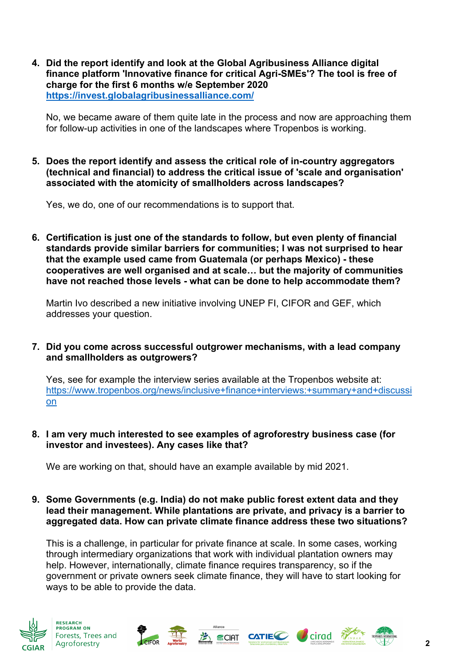**4. Did the report identify and look at the Global Agribusiness Alliance digital finance platform 'Innovative finance for critical Agri-SMEs'? The tool is free of charge for the first 6 months w/e September 2020 https://invest.globalagribusinessalliance.com/**

No, we became aware of them quite late in the process and now are approaching them for follow-up activities in one of the landscapes where Tropenbos is working.

**5. Does the report identify and assess the critical role of in-country aggregators (technical and financial) to address the critical issue of 'scale and organisation' associated with the atomicity of smallholders across landscapes?**

Yes, we do, one of our recommendations is to support that.

**6. Certification is just one of the standards to follow, but even plenty of financial standards provide similar barriers for communities; I was not surprised to hear that the example used came from Guatemala (or perhaps Mexico) - these cooperatives are well organised and at scale… but the majority of communities have not reached those levels - what can be done to help accommodate them?**

Martin Ivo described a new initiative involving UNEP FI, CIFOR and GEF, which addresses your question.

**7. Did you come across successful outgrower mechanisms, with a lead company and smallholders as outgrowers?**

Yes, see for example the interview series available at the Tropenbos website at: https://www.tropenbos.org/news/inclusive+finance+interviews:+summary+and+discussi on

**8. I am very much interested to see examples of agroforestry business case (for investor and investees). Any cases like that?**

We are working on that, should have an example available by mid 2021.

**9. Some Governments (e.g. India) do not make public forest extent data and they lead their management. While plantations are private, and privacy is a barrier to aggregated data. How can private climate finance address these two situations?**

This is a challenge, in particular for private finance at scale. In some cases, working through intermediary organizations that work with individual plantation owners may help. However, internationally, climate finance requires transparency, so if the government or private owners seek climate finance, they will have to start looking for ways to be able to provide the data.



**PROGRAM ON** Forests, Trees and Agroforestry







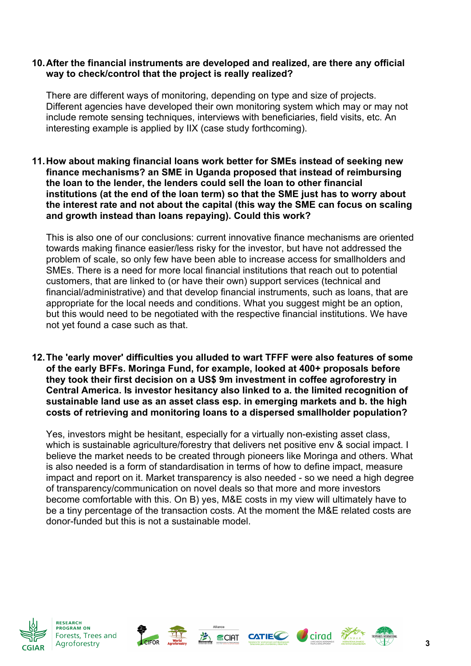## **10.After the financial instruments are developed and realized, are there any official way to check/control that the project is really realized?**

There are different ways of monitoring, depending on type and size of projects. Different agencies have developed their own monitoring system which may or may not include remote sensing techniques, interviews with beneficiaries, field visits, etc. An interesting example is applied by IIX (case study forthcoming).

**11.How about making financial loans work better for SMEs instead of seeking new finance mechanisms? an SME in Uganda proposed that instead of reimbursing the loan to the lender, the lenders could sell the loan to other financial institutions (at the end of the loan term) so that the SME just has to worry about the interest rate and not about the capital (this way the SME can focus on scaling and growth instead than loans repaying). Could this work?** 

This is also one of our conclusions: current innovative finance mechanisms are oriented towards making finance easier/less risky for the investor, but have not addressed the problem of scale, so only few have been able to increase access for smallholders and SMEs. There is a need for more local financial institutions that reach out to potential customers, that are linked to (or have their own) support services (technical and financial/administrative) and that develop financial instruments, such as loans, that are appropriate for the local needs and conditions. What you suggest might be an option, but this would need to be negotiated with the respective financial institutions. We have not yet found a case such as that.

**12.The 'early mover' difficulties you alluded to wart TFFF were also features of some of the early BFFs. Moringa Fund, for example, looked at 400+ proposals before they took their first decision on a US\$ 9m investment in coffee agroforestry in Central America. Is investor hesitancy also linked to a. the limited recognition of sustainable land use as an asset class esp. in emerging markets and b. the high costs of retrieving and monitoring loans to a dispersed smallholder population?**

Yes, investors might be hesitant, especially for a virtually non-existing asset class, which is sustainable agriculture/forestry that delivers net positive env & social impact. I believe the market needs to be created through pioneers like Moringa and others. What is also needed is a form of standardisation in terms of how to define impact, measure impact and report on it. Market transparency is also needed - so we need a high degree of transparency/communication on novel deals so that more and more investors become comfortable with this. On B) yes, M&E costs in my view will ultimately have to be a tiny percentage of the transaction costs. At the moment the M&E related costs are donor-funded but this is not a sustainable model.



**PROGRAM ON** Forests, Trees and Agroforestry







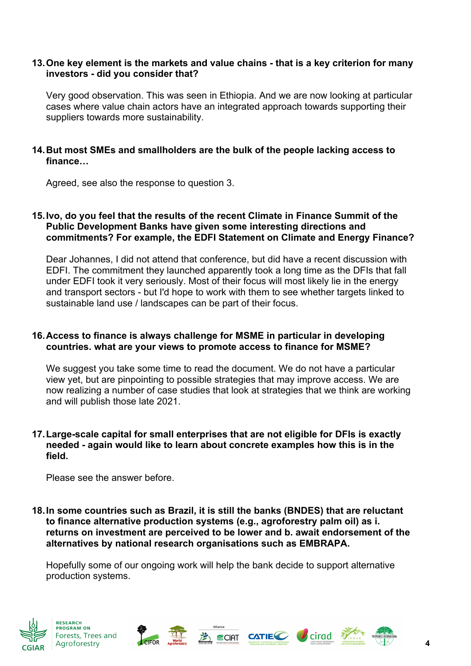## **13.One key element is the markets and value chains - that is a key criterion for many investors - did you consider that?**

Very good observation. This was seen in Ethiopia. And we are now looking at particular cases where value chain actors have an integrated approach towards supporting their suppliers towards more sustainability.

# **14.But most SMEs and smallholders are the bulk of the people lacking access to finance…**

Agreed, see also the response to question 3.

## **15.Ivo, do you feel that the results of the recent Climate in Finance Summit of the Public Development Banks have given some interesting directions and commitments? For example, the EDFI Statement on Climate and Energy Finance?**

Dear Johannes, I did not attend that conference, but did have a recent discussion with EDFI. The commitment they launched apparently took a long time as the DFIs that fall under EDFI took it very seriously. Most of their focus will most likely lie in the energy and transport sectors - but I'd hope to work with them to see whether targets linked to sustainable land use / landscapes can be part of their focus.

### **16.Access to finance is always challenge for MSME in particular in developing countries. what are your views to promote access to finance for MSME?**

We suggest you take some time to read the document. We do not have a particular view yet, but are pinpointing to possible strategies that may improve access. We are now realizing a number of case studies that look at strategies that we think are working and will publish those late 2021.

### **17.Large-scale capital for small enterprises that are not eligible for DFIs is exactly needed - again would like to learn about concrete examples how this is in the field.**

Please see the answer before.

**18.In some countries such as Brazil, it is still the banks (BNDES) that are reluctant to finance alternative production systems (e.g., agroforestry palm oil) as i. returns on investment are perceived to be lower and b. await endorsement of the alternatives by national research organisations such as EMBRAPA.**

Hopefully some of our ongoing work will help the bank decide to support alternative production systems.